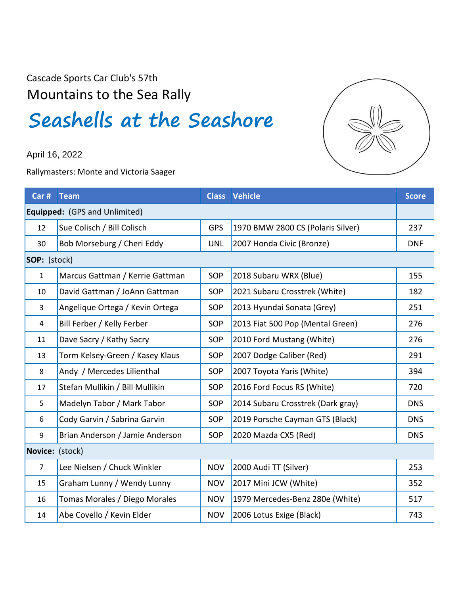Cascade Sports Car Club's 57th Mountains to the Sea Rally

## **Seashells at the Seashore**

April 16, 2022

Rallymasters: Monte and Victoria Saager



| Car #           | <b>Team</b>                     |            | <b>Class Vehicle</b>              | <b>Score</b> |
|-----------------|---------------------------------|------------|-----------------------------------|--------------|
|                 | Equipped: (GPS and Unlimited)   |            |                                   |              |
| 12              | Sue Colisch / Bill Colisch      | <b>GPS</b> | 1970 BMW 2800 CS (Polaris Silver) | 237          |
| 30              | Bob Morseburg / Cheri Eddy      | <b>UNL</b> | 2007 Honda Civic (Bronze)         | <b>DNF</b>   |
| SOP: (stock)    |                                 |            |                                   |              |
| $\mathbf{1}$    | Marcus Gattman / Kerrie Gattman | SOP        | 2018 Subaru WRX (Blue)            | 155          |
| 10              | David Gattman / JoAnn Gattman   | SOP        | 2021 Subaru Crosstrek (White)     | 182          |
| 3               | Angelique Ortega / Kevin Ortega | SOP        | 2013 Hyundai Sonata (Grey)        | 251          |
| 4               | Bill Ferber / Kelly Ferber      | <b>SOP</b> | 2013 Fiat 500 Pop (Mental Green)  | 276          |
| 11              | Dave Sacry / Kathy Sacry        | SOP        | 2010 Ford Mustang (White)         | 276          |
| 13              | Torm Kelsey-Green / Kasey Klaus | SOP        | 2007 Dodge Caliber (Red)          | 291          |
| 8               | Andy / Mercedes Lilienthal      | SOP        | 2007 Toyota Yaris (White)         | 394          |
| 17              | Stefan Mullikin / Bill Mullikin | SOP        | 2016 Ford Focus RS (White)        | 720          |
| 5               | Madelyn Tabor / Mark Tabor      | SOP        | 2014 Subaru Crosstrek (Dark gray) | <b>DNS</b>   |
| 6               | Cody Garvin / Sabrina Garvin    | <b>SOP</b> | 2019 Porsche Cayman GTS (Black)   | <b>DNS</b>   |
| 9               | Brian Anderson / Jamie Anderson | SOP        | 2020 Mazda CX5 (Red)              | <b>DNS</b>   |
| Novice: (stock) |                                 |            |                                   |              |
| $\overline{7}$  | Lee Nielsen / Chuck Winkler     | <b>NOV</b> | 2000 Audi TT (Silver)             | 253          |
| 15              | Graham Lunny / Wendy Lunny      | <b>NOV</b> | 2017 Mini JCW (White)             | 352          |
| 16              | Tomas Morales / Diego Morales   | <b>NOV</b> | 1979 Mercedes-Benz 280e (White)   | 517          |
| 14              | Abe Covello / Kevin Elder       | <b>NOV</b> | 2006 Lotus Exige (Black)          | 743          |